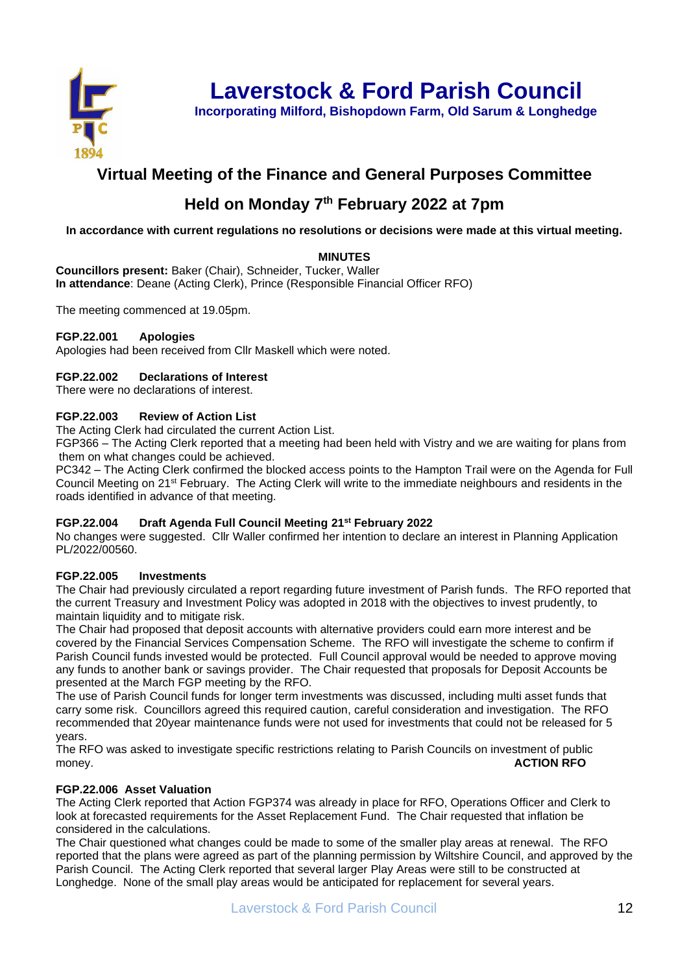

**Laverstock & Ford Parish Council**

**Incorporating Milford, Bishopdown Farm, Old Sarum & Longhedge**

## **Virtual Meeting of the Finance and General Purposes Committee**

# **Held on Monday 7 th February 2022 at 7pm**

**In accordance with current regulations no resolutions or decisions were made at this virtual meeting.** 

### **MINUTES**

**Councillors present:** Baker (Chair), Schneider, Tucker, Waller **In attendance**: Deane (Acting Clerk), Prince (Responsible Financial Officer RFO)

The meeting commenced at 19.05pm.

#### **FGP.22.001 Apologies**

Apologies had been received from Cllr Maskell which were noted.

#### **FGP.22.002 Declarations of Interest**

There were no declarations of interest.

#### **FGP.22.003 Review of Action List**

The Acting Clerk had circulated the current Action List.

FGP366 – The Acting Clerk reported that a meeting had been held with Vistry and we are waiting for plans from them on what changes could be achieved.

PC342 – The Acting Clerk confirmed the blocked access points to the Hampton Trail were on the Agenda for Full Council Meeting on 21st February. The Acting Clerk will write to the immediate neighbours and residents in the roads identified in advance of that meeting.

#### **FGP.22.004 Draft Agenda Full Council Meeting 21st February 2022**

No changes were suggested. Cllr Waller confirmed her intention to declare an interest in Planning Application PL/2022/00560.

#### **FGP.22.005 Investments**

The Chair had previously circulated a report regarding future investment of Parish funds. The RFO reported that the current Treasury and Investment Policy was adopted in 2018 with the objectives to invest prudently, to maintain liquidity and to mitigate risk.

The Chair had proposed that deposit accounts with alternative providers could earn more interest and be covered by the Financial Services Compensation Scheme. The RFO will investigate the scheme to confirm if Parish Council funds invested would be protected. Full Council approval would be needed to approve moving any funds to another bank or savings provider. The Chair requested that proposals for Deposit Accounts be presented at the March FGP meeting by the RFO.

The use of Parish Council funds for longer term investments was discussed, including multi asset funds that carry some risk. Councillors agreed this required caution, careful consideration and investigation. The RFO recommended that 20year maintenance funds were not used for investments that could not be released for 5 years.

The RFO was asked to investigate specific restrictions relating to Parish Councils on investment of public money. **ACTION RFO**

#### **FGP.22.006 Asset Valuation**

The Acting Clerk reported that Action FGP374 was already in place for RFO, Operations Officer and Clerk to look at forecasted requirements for the Asset Replacement Fund. The Chair requested that inflation be considered in the calculations.

The Chair questioned what changes could be made to some of the smaller play areas at renewal. The RFO reported that the plans were agreed as part of the planning permission by Wiltshire Council, and approved by the Parish Council. The Acting Clerk reported that several larger Play Areas were still to be constructed at Longhedge. None of the small play areas would be anticipated for replacement for several years.